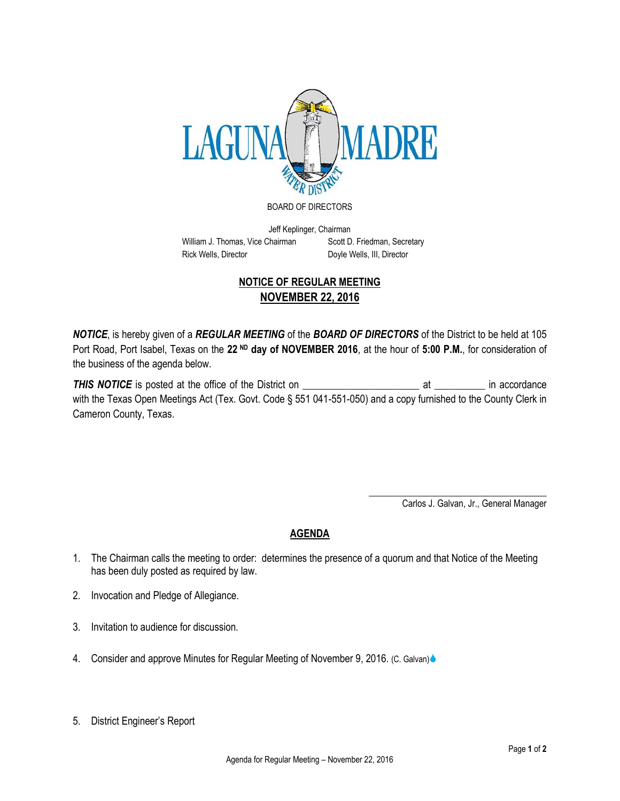

BOARD OF DIRECTORS

Jeff Keplinger, Chairman William J. Thomas, Vice Chairman Scott D. Friedman, Secretary Rick Wells, Director **Doyle Wells, III, Director** 

## **NOTICE OF REGULAR MEETING NOVEMBER 22, 2016**

*NOTICE*, is hereby given of a *REGULAR MEETING* of the *BOARD OF DIRECTORS* of the District to be held at 105 Port Road, Port Isabel, Texas on the **22 ND day of NOVEMBER 2016**, at the hour of **5:00 P.M.**, for consideration of the business of the agenda below.

**THIS NOTICE** is posted at the office of the District on **Example 2** at The accordance with the Texas Open Meetings Act (Tex. Govt. Code § 551 041-551-050) and a copy furnished to the County Clerk in Cameron County, Texas.

> \_\_\_\_\_\_\_\_\_\_\_\_\_\_\_\_\_\_\_\_\_\_\_\_\_\_\_\_\_\_\_\_\_\_\_ Carlos J. Galvan, Jr., General Manager

## **AGENDA**

- 1. The Chairman calls the meeting to order: determines the presence of a quorum and that Notice of the Meeting has been duly posted as required by law.
- 2. Invocation and Pledge of Allegiance.
- 3. Invitation to audience for discussion.
- 4. Consider and approve Minutes for Regular Meeting of November 9, 2016. (C. Galvan)
- 5. District Engineer's Report